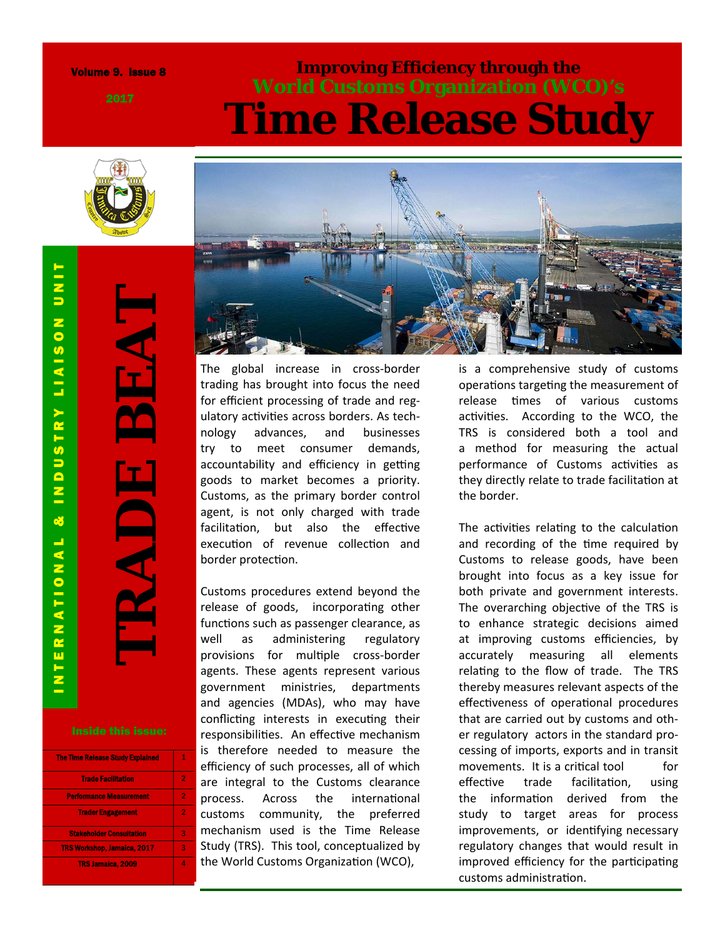#### Volume 9. Issue 8

### **Improving Efficiency through the World Customs Organization (WCO)'s Time Release Study**



**TRADE BEAT** 

| <b>The Time Release Study Explained</b> |   |
|-----------------------------------------|---|
| <b>Trade Facilitation</b>               | 2 |
| <b>Performance Measurement</b>          | 2 |
| <b>Trader Engagement</b>                | 2 |
| <b>Stakeholder Consultation</b>         | 3 |
| <b>TRS Workshop, Jamaica, 2017</b>      | 3 |
| <b>TRS Jamaica, 2009</b>                |   |



The global increase in cross ‐border trading has brought into focus the need for e fficient processing of trade and reg ‐ ulatory activities across borders. As technology advances, and businesses try to meet consumer demands, accountability and efficiency in getting goods to market becomes a priority. Customs, as the primary border control agent, is not only charged with trade facilitation, but also the effective execution of revenue collection and border protection.

Customs procedures extend beyond the release of goods, incorporating other functions such as passenger clearance, as well as administering regulatory provisions for multiple cross-border agents. These agents represent various government ministries, departments and agencies (MDAs), who may have conflicting interests in executing their responsibilities. An effective mechanism is therefore needed to measure the efficiency of such processes, all of which are integral to the Customs clearance process. Across the international customs community, the preferred mechanism used is the Time Release Study (TRS). This tool, conceptualized by the World Customs Organization (WCO),

is a comprehensive study of customs operations targeting the measurement of release times of various customs activities. According to the WCO, the TRS is considered both a tool and a method for measuring the actual performance of Customs activities as they directly relate to trade facilitation at the border.

The activities relating to the calculation and recording of the time required by Customs to release goods, have been brought into focus as a key issue for both private and government interests. The overarching objective of the TRS is to enhance strategic decisions aimed at improving customs e fficiencies, by accurately measuring all elements relating to the flow of trade. The TRS thereby measures relevant aspects of the<br>effectiveness of operational procedures that are carried out by customs and oth ‐ er regulatory actors in the standard pro ‐ cessing of imports, exports and in transit movements. It is a critical tool for e ffec trade facilitation, using the information derived from the study to target areas for process improvements, or identifying necessary regulatory changes that would result in improved efficiency for the participating customs administration.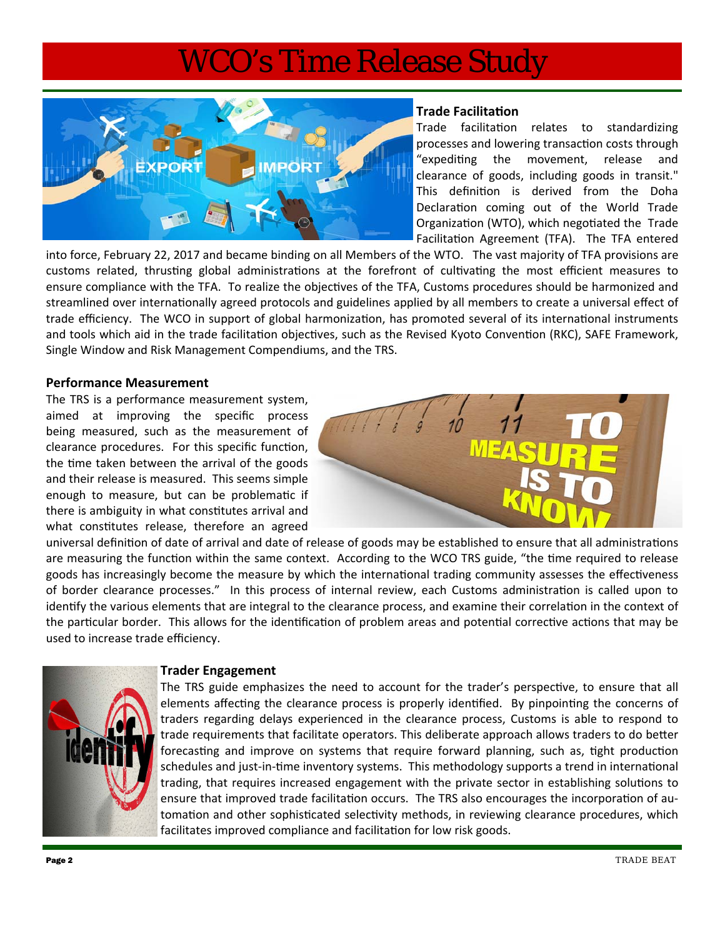

#### **Trade FacilitaƟon**

Trade facilitation relates to standardizing processes and lowering transaction costs through "expediting the movement, release and clearance of goods, including goods in transit." This definition is derived from the Doha Declaration coming out of the World Trade Organization (WTO), which negotiated the Trade Facilitation Agreement (TFA). The TFA entered

into force, February 22, 2017 and became binding on all Members of the WTO. The vast majority of TFA provisions are customs related, thrusting global administrations at the forefront of cultivating the most efficient measures to ensure compliance with the TFA. To realize the objectives of the TFA, Customs procedures should be harmonized and streamlined over internationally agreed protocols and guidelines applied by all members to create a universal effect of trade efficiency. The WCO in support of global harmonization, has promoted several of its international instruments and tools which aid in the trade facilitation objectives, such as the Revised Kyoto Convention (RKC), SAFE Framework, Single Window and Risk Management Compendiums, and the TRS.

#### **Performance Measurement**

The TRS is a performance measurement system, aimed at improving the specific process being measured, such as the measurement of clearance procedures. For this specific function, the time taken between the arrival of the goods and their release is measured. This seems simple enough to measure, but can be problematic if there is ambiguity in what constitutes arrival and what constitutes release, therefore an agreed



universal definition of date of arrival and date of release of goods may be established to ensure that all administrations are measuring the function within the same context. According to the WCO TRS guide, "the time required to release goods has increasingly become the measure by which the international trading community assesses the effectiveness of border clearance processes." In this process of internal review, each Customs administration is called upon to identify the various elements that are integral to the clearance process, and examine their correlation in the context of the particular border. This allows for the identification of problem areas and potential corrective actions that may be used to increase trade efficiency.



#### **Trader Engagement**

The TRS guide emphasizes the need to account for the trader's perspective, to ensure that all elements affecting the clearance process is properly identified. By pinpointing the concerns of traders regarding delays experienced in the clearance process, Customs is able to respond to trade requirements that facilitate operators. This deliberate approach allows traders to do better forecasting and improve on systems that require forward planning, such as, tight production schedules and just-in-time inventory systems. This methodology supports a trend in international trading, that requires increased engagement with the private sector in establishing solutions to ensure that improved trade facilitation occurs. The TRS also encourages the incorporation of automation and other sophisticated selectivity methods, in reviewing clearance procedures, which facilitates improved compliance and facilitation for low risk goods.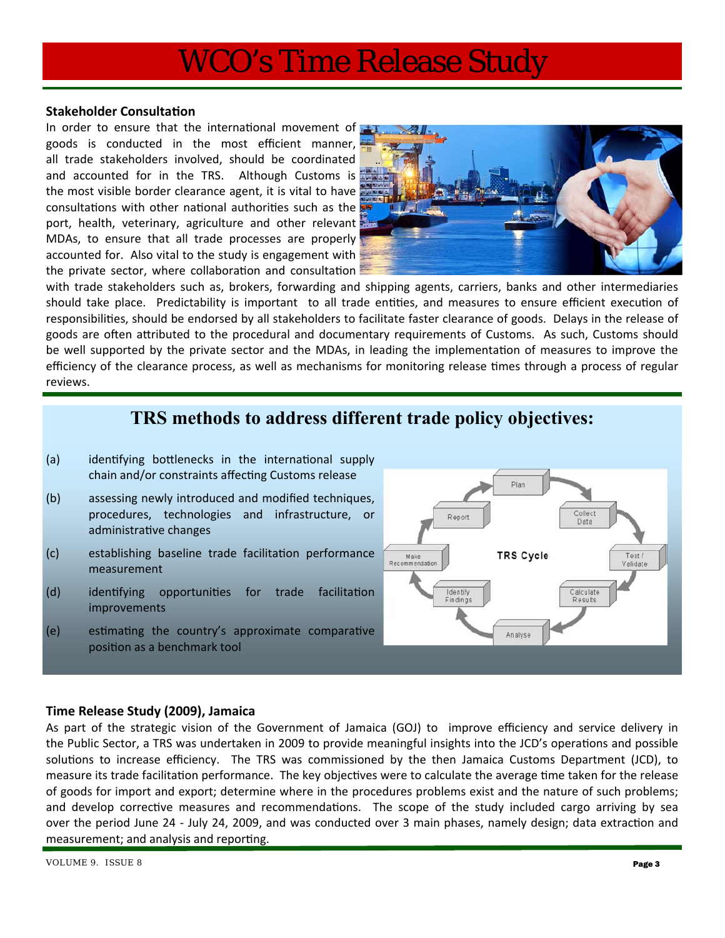#### **Stakeholder Consultation**

In order to ensure that the international movement of goods is conducted in the most efficient manner, all trade stakeholders involved, should be coordinated and accounted for in the TRS. Although Customs is the most visible border clearance agent, it is vital to have consultations with other national authorities such as the port, health, veterinary, agriculture and other relevant MDAs, to ensure that all trade processes are properly accounted for. Also vital to the study is engagement with the private sector, where collaboration and consultation



with trade stakeholders such as, brokers, forwarding and shipping agents, carriers, banks and other intermediaries should take place. Predictability is important to all trade entities, and measures to ensure efficient execution of responsibilities, should be endorsed by all stakeholders to facilitate faster clearance of goods. Delays in the release of goods are often attributed to the procedural and documentary requirements of Customs. As such, Customs should be well supported by the private sector and the MDAs, in leading the implementation of measures to improve the efficiency of the clearance process, as well as mechanisms for monitoring release times through a process of regular reviews.

### **TRS methods to address different trade policy objectives:**

- (a) identifying bottlenecks in the international supply chain and/or constraints affecting Customs release
- (b) assessing newly introduced and modified techniques, procedures, technologies and infrastructure, or administrative changes
- (c) establishing baseline trade facilitation performance measurement
- (d) identifying opportunities for trade facilitation improvements
- (e) estimating the country's approximate comparative position as a benchmark tool



#### **Time Release Study (2009), Jamaica**

As part of the strategic vision of the Government of Jamaica (GOJ) to improve efficiency and service delivery in the Public Sector, a TRS was undertaken in 2009 to provide meaningful insights into the JCD's operations and possible solutions to increase efficiency. The TRS was commissioned by the then Jamaica Customs Department (JCD), to measure its trade facilitation performance. The key objectives were to calculate the average time taken for the release of goods for import and export; determine where in the procedures problems exist and the nature of such problems; and develop corrective measures and recommendations. The scope of the study included cargo arriving by sea over the period June 24 - July 24, 2009, and was conducted over 3 main phases, namely design; data extraction and measurement; and analysis and reporting.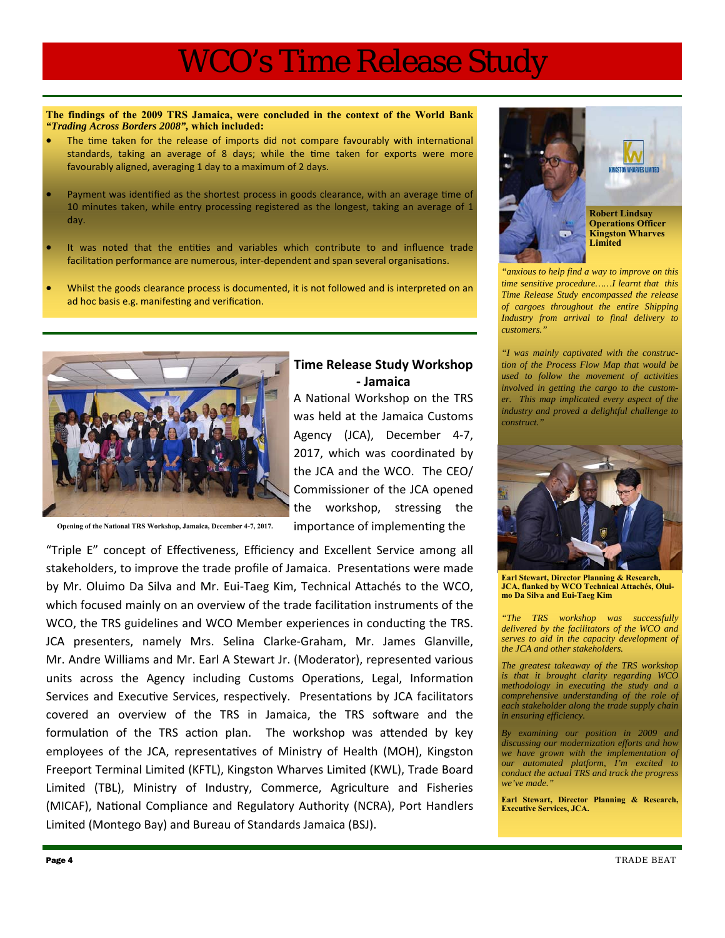**Time Release Study Workshop ‐ Jamaica** 

**The findings of the 2009 TRS Jamaica, were concluded in the context of the World Bank**  *"Trading Across Borders 2008",* **which included:** 

- The time taken for the release of imports did not compare favourably with international standards, taking an average of 8 days; while the time taken for exports were more favourably aligned, averaging 1 day to a maximum of 2 days.
- Payment was identified as the shortest process in goods clearance, with an average time of 10 minutes taken, while entry processing registered as the longest, taking an average of 1 day.
- It was noted that the entities and variables which contribute to and influence trade facilitation performance are numerous, inter-dependent and span several organisations.
- Whilst the goods clearance process is documented, it is not followed and is interpreted on an ad hoc basis e.g. manifesting and verification.



**Opening of the National TRS Workshop, Jamaica, December 4-7, 2017.** 

### importance of implementing the "Triple E" concept of EffecƟveness, Efficiency and Excellent Service among all stakeholders, to improve the trade profile of Jamaica. Presentations were made by Mr. Oluimo Da Silva and Mr. Eui-Taeg Kim, Technical Attachés to the WCO, which focused mainly on an overview of the trade facilitation instruments of the WCO, the TRS guidelines and WCO Member experiences in conducting the TRS. JCA presenters, namely Mrs. Selina Clarke‐Graham, Mr. James Glanville, Mr. Andre Williams and Mr. Earl A Stewart Jr. (Moderator), represented various units across the Agency including Customs Operations, Legal, Information Services and Executive Services, respectively. Presentations by JCA facilitators covered an overview of the TRS in Jamaica, the TRS software and the formulation of the TRS action plan. The workshop was attended by key employees of the JCA, representatives of Ministry of Health (MOH), Kingston Freeport Terminal Limited (KFTL), Kingston Wharves Limited (KWL), Trade Board Limited (TBL), Ministry of Industry, Commerce, Agriculture and Fisheries (MICAF), National Compliance and Regulatory Authority (NCRA), Port Handlers Limited (Montego Bay) and Bureau of Standards Jamaica (BSJ).



*"anxious to help find a way to improve on this time sensitive procedure……I learnt that this Time Release Study encompassed the release of cargoes throughout the entire Shipping Industry from arrival to final delivery to customers."* 

*"I was mainly captivated with the construction of the Process Flow Map that would be used to follow the movement of activities involved in getting the cargo to the customer. This map implicated every aspect of the industry and proved a delightful challenge to construct."* 



**Earl Stewart, Director Planning & Research, JCA, flanked by WCO Technical Attachés, Oluimo Da Silva and Eui-Taeg Kim** 

*"The TRS workshop was successfully delivered by the facilitators of the WCO and serves to aid in the capacity development of the JCA and other stakeholders.* 

*The greatest takeaway of the TRS workshop is that it brought clarity regarding WCO methodology in executing the study and a comprehensive understanding of the role of each stakeholder along the trade supply chain in ensuring efficiency.* 

*By examining our position in 2009 and discussing our modernization efforts and how we have grown with the implementation of our automated platform, I'm excited to conduct the actual TRS and track the progress*  we've made.

**Earl Stewart, Director Planning & Research, Executive Services, JCA.**